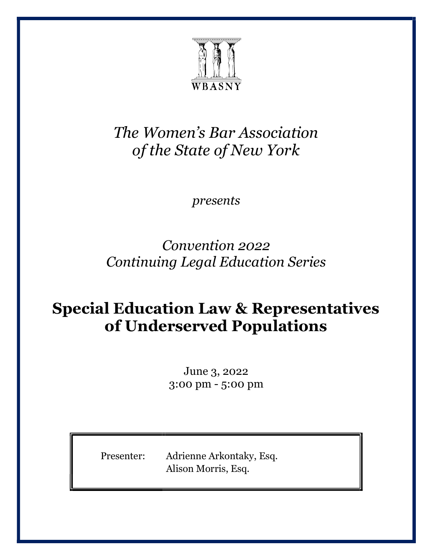

#### *The Women's Bar Association of the State of New York*

*presents* 

*Convention 2022 Continuing Legal Education Series* 

### **Special Education Law & Representatives of Underserved Populations**

June 3, 2022 3:00 pm - 5:00 pm

Presenter: Adrienne Arkontaky, Esq. Alison Morris, Esq.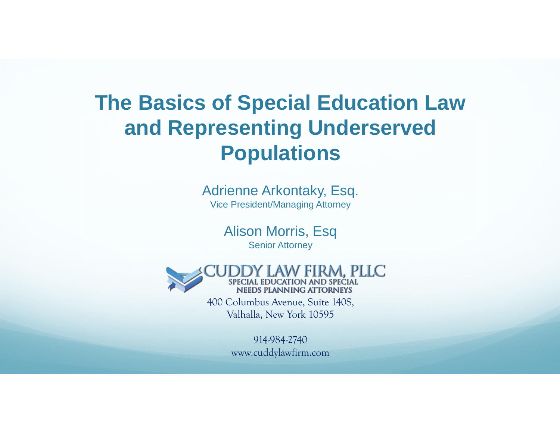### **The Basics of Special Education Law and Representing Underserved Populations**

Adrienne Arkontaky, Esq. Vice President/Managing Attorney

> Alison Morris, Esq Senior Attorney



400 Columbus Avenue, Suite 140S, Valhalla, New York 10595

> 914-984-2740 www.cuddylawfirm.com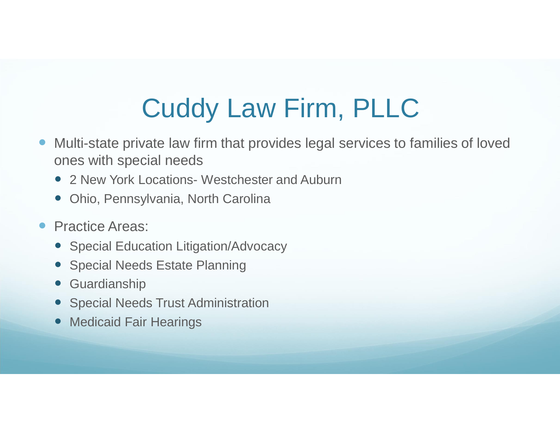# Cuddy Law Firm, PLLC

- � Multi-state private law firm that provides legal services to families of loved ones with special needs
	- 2 New York Locations- Westchester and Auburn
	- � Ohio, Pennsylvania, North Carolina

#### **• Practice Areas:**

- � Special Education Litigation/Advocacy
- Special Needs Estate Planning
- � Guardianship
- Special Needs Trust Administration
- Medicaid Fair Hearings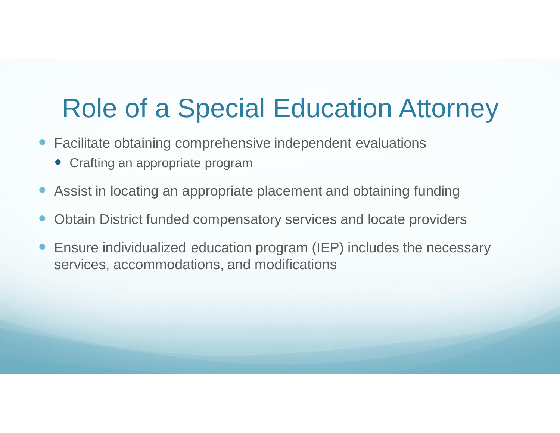## Role of a Special Education Attorney

- Facilitate obtaining comprehensive independent evaluations
	- Crafting an appropriate program
- � Assist in locating an appropriate placement and obtaining funding
- Obtain District funded compensatory services and locate providers
- � Ensure individualized education program (IEP) includes the necessary services, accommodations, and modifications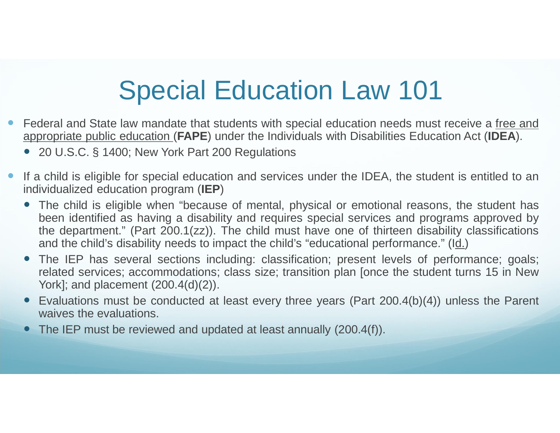## Special Education Law 101

- � Federal and State law mandate that students with special education needs must receive a free and appropriate public education (**FAPE**) under the Individuals with Disabilities Education Act (**IDEA**).
	- 20 U.S.C. § 1400; New York Part 200 Regulations
- � If a child is eligible for special education and services under the IDEA, the student is entitled to an individualized education program (**IEP**)
	- � The child is eligible when "because of mental, physical or emotional reasons, the student has been identified as having a disability and requires special services and programs approved by the department." (Part 200.1(zz)). The child must have one of thirteen disability classifications and the child's disability needs to impact the child's "educational performance." (Id.)
	- The IEP has several sections including: classification; present levels of performance; goals; related services; accommodations; class size; transition plan [once the student turns 15 in New York]; and placement (200.4(d)(2)).
	- � Evaluations must be conducted at least every three years (Part 200.4(b)(4)) unless the Parent waives the evaluations.
	- The IEP must be reviewed and updated at least annually (200.4(f)).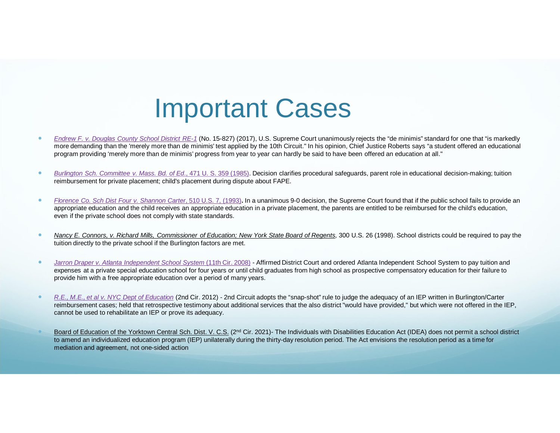### Important Cases

- Endrew F. v. Douglas County School District RE-1 (No. 15-827) (2017), U.S. Supreme Court unanimously rejects the "de minimis" standard for one that "is markedly more demanding than the 'merely more than de minimis' test applied by the 10th Circuit." In his opinion, Chief Justice Roberts says "a student offered an educational program providing 'merely more than de minimis' progress from year to year can hardly be said to have been offered an education at all."
- Burlington Sch. Committee v. Mass. Bd. of Ed., 471 U. S. 359 (1985). Decision clarifies procedural safeguards, parent role in educational decision-making; tuition reimbursement for private placement; child's placement during dispute about FAPE.
- Florence Co. Sch Dist Four v. Shannon Carter, 510 U.S. 7, (1993). In a unanimous 9-0 decision, the Supreme Court found that if the public school fails to provide an appropriate education and the child receives an appropriate education in a private placement, the parents are entitled to be reimbursed for the child's education, even if the private school does not comply with state standards.
- Nancy E. Connors, v. Richard Mills, Commissioner of Education; New York State Board of Regents, 300 U.S. 26 (1998). School districts could be required to pay the tuition directly to the private school if the Burlington factors are met.
- Jarron Draper v. Atlanta Independent School System (11th Cir. 2008) Affirmed District Court and ordered Atlanta Independent School System to pay tuition and expenses at a private special education school for four years or until child graduates from high school as prospective compensatory education for their failure to provide him with a free appropriate education over a period of many years.
- R.E., M.E., et al v. NYC Dept of Education (2nd Cir. 2012) 2nd Circuit adopts the "snap-shot" rule to judge the adequacy of an IEP written in Burlington/Carter reimbursement cases; held that retrospective testimony about additional services that the also district "would have provided," but which were not offered in the IEP, cannot be used to rehabilitate an IEP or prove its adequacy.
- Board of Education of the Yorktown Central Sch. Dist. V. C.S. (2<sup>nd</sup> Cir. 2021)- The Individuals with Disabilities Education Act (IDEA) does not permit a school district to amend an individualized education program (IEP) unilaterally during the thirty-day resolution period. The Act envisions the resolution period as a time for mediation and agreement, not one-sided action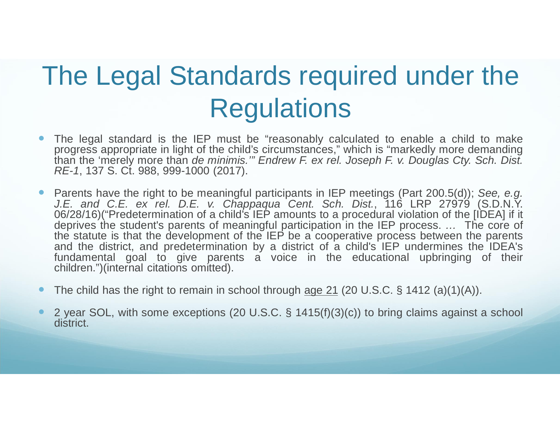## The Legal Standards required under the **Regulations**

- � The legal standard is the IEP must be "reasonably calculated to enable a child to make progress appropriate in light of the child's circumstances," which is "markedly more demanding than the 'merely more than de minimis."" Endrew F. ex rel. Joseph F. v. Douglas Cty. Sch. Dist. RE-1, 137 S. Ct. 988, 999-1000 (2017).
- Parents have the right to be meaningful participants in IEP meetings (Part 200.5(d)); See, e.g. J.E. and C.E. ex rel. D.E. v. Chappaqua Cent. Sch. Dist., 116 LRP 27979 (S.D.N.Y. 06/28/16)("Predetermination of a child's IEP amounts to a procedural violation of the [IDEA] if it deprives the student's parents of meaningful participation in the IEP process. ... The core of the statute is that the development of the IEP be a cooperative process between the parents and the district, and predetermination by a district of a child's IEP undermines the IDEA's fundamental goal to give parents a voice in the educational upbringing of their children.")(internal citations omitted).
- The child has the right to remain in school through age 21 (20 U.S.C. § 1412 (a)(1)(A)).
- � 2 year SOL, with some exceptions (20 U.S.C. § 1415(f)(3)(c)) to bring claims against a school district.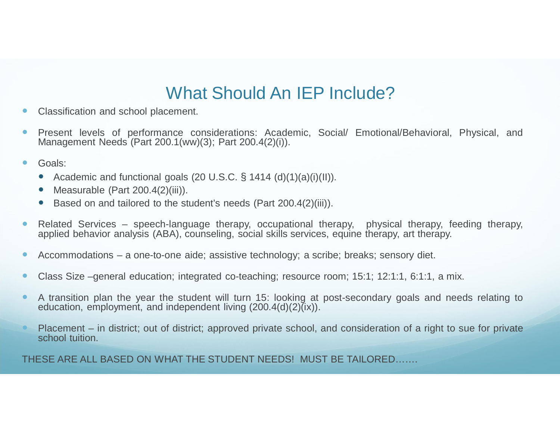### What Should An IEP Include?

- Classification and school placement.
- � Present levels of performance considerations: Academic, Social/ Emotional/Behavioral, Physical, and Management Needs (Part 200.1(ww)(3); Part 200.4(2)(i)).
- Goals:
	- � Academic and functional goals (20 U.S.C. § 1414 (d)(1)(a)(i)(II)).
	- Measurable (Part 200.4(2)(iii)).
	- � Based on and tailored to the student's needs (Part 200.4(2)(iii)).
- � Related Services speech-language therapy, occupational therapy, physical therapy, feeding therapy, applied behavior analysis (ABA), counseling, social skills services, equine therapy, art therapy.
- � Accommodations a one-to-one aide; assistive technology; a scribe; breaks; sensory diet.
- Class Size –general education; integrated co-teaching; resource room; 15:1; 12:1:1, 6:1:1, a mix.
- � A transition plan the year the student will turn 15: looking at post-secondary goals and needs relating to education, employment, and independent living  $(200.4(d)(2)\tilde{G})$ .
- Placement in district; out of district; approved private school, and consideration of a right to sue for private school tuition.

THESE ARE ALL BASED ON WHAT THE STUDENT NEEDS! MUST BE TAILORED…….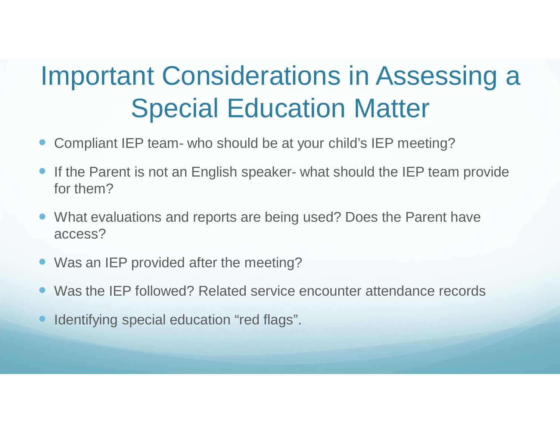## Important Considerations in Assessing a Special Education Matter

- � Compliant IEP team- who should be at your child's IEP meeting?
- If the Parent is not an English speaker- what should the IEP team provide for them?
- What evaluations and reports are being used? Does the Parent have access?
- Was an IEP provided after the meeting?
- Was the IEP followed? Related service encounter attendance records
- Identifying special education "red flags".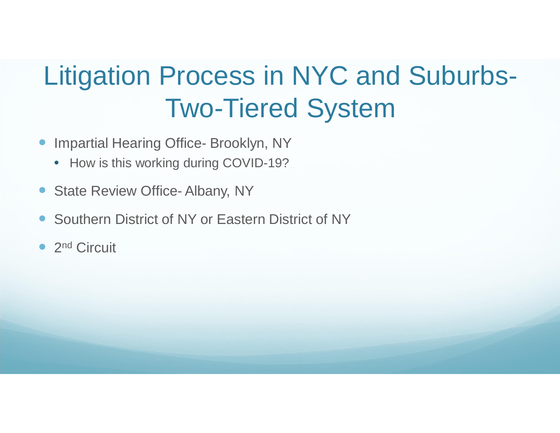# Litigation Process in NYC and Suburbs-Two-Tiered System

- **Impartial Hearing Office- Brooklyn, NY** 
	- How is this working during COVID-19?
- State Review Office- Albany, NY
- � Southern District of NY or Eastern District of NY
- 2<sup>nd</sup> Circuit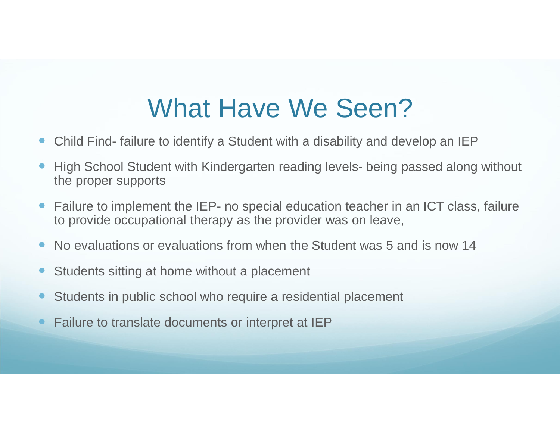### What Have We Seen?

- Child Find- failure to identify a Student with a disability and develop an IEP
- High School Student with Kindergarten reading levels- being passed along without the proper supports
- Failure to implement the IEP- no special education teacher in an ICT class, failure to provide occupational therapy as the provider was on leave,
- No evaluations or evaluations from when the Student was 5 and is now 14
- Students sitting at home without a placement
- Students in public school who require a residential placement
- � Failure to translate documents or interpret at IEP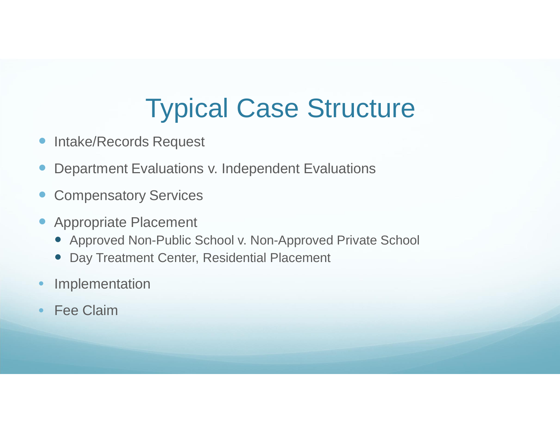## Typical Case Structure

- **Intake/Records Request**
- � Department Evaluations v. Independent Evaluations
- Compensatory Services
- � Appropriate Placement
	- � Approved Non-Public School v. Non-Approved Private School
	- � Day Treatment Center, Residential Placement
- Implementation
- **Fee Claim**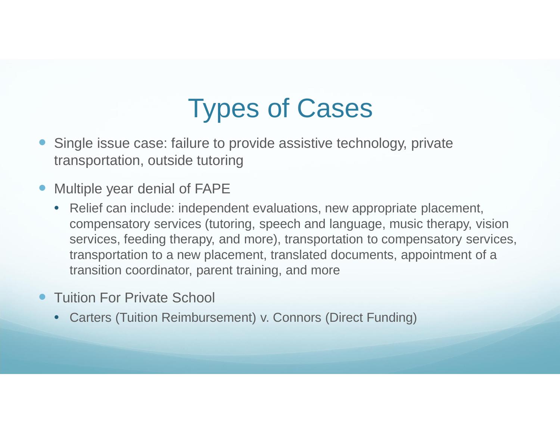## Types of Cases

- � Single issue case: failure to provide assistive technology, private transportation, outside tutoring
- Multiple year denial of FAPE
	- Relief can include: independent evaluations, new appropriate placement, compensatory services (tutoring, speech and language, music therapy, vision services, feeding therapy, and more), transportation to compensatory services, transportation to a new placement, translated documents, appointment of a transition coordinator, parent training, and more
- **Tuition For Private School** 
	- Carters (Tuition Reimbursement) v. Connors (Direct Funding)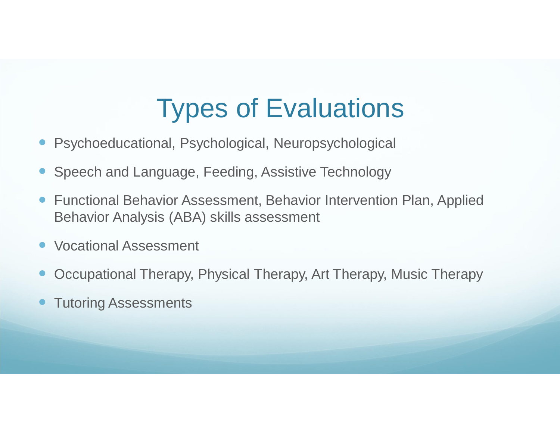## Types of Evaluations

- Psychoeducational, Psychological, Neuropsychological
- � Speech and Language, Feeding, Assistive Technology
- � Functional Behavior Assessment, Behavior Intervention Plan, Applied Behavior Analysis (ABA) skills assessment
- � Vocational Assessment
- � Occupational Therapy, Physical Therapy, Art Therapy, Music Therapy
- **Tutoring Assessments**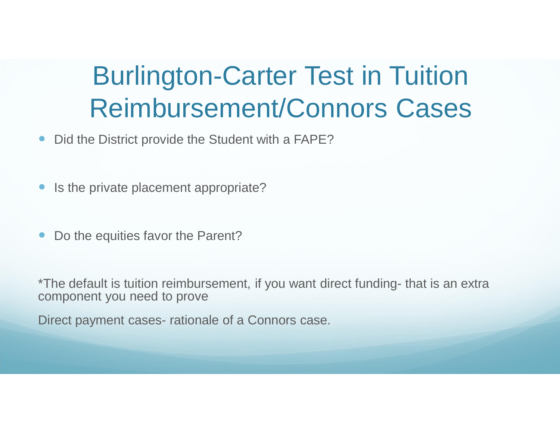### Burlington-Carter Test in Tuition Reimbursement/Connors Cases

- Did the District provide the Student with a FAPE?
- Is the private placement appropriate?
- Do the equities favor the Parent?

\*The default is tuition reimbursement, if you want direct funding- that is an extra component you need to prove

Direct payment cases- rationale of a Connors case.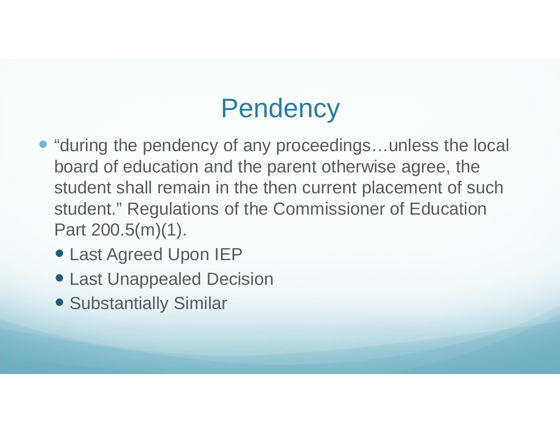## **Pendency**

- "during the pendency of any proceedings...unless the local board of education and the parent otherwise agree, the student shall remain in the then current placement of such student." Regulations of the Commissioner of Education Part 200.5(m)(1).
	- � Last Agreed Upon IEP
	- � Last Unappealed Decision
	- � Substantially Similar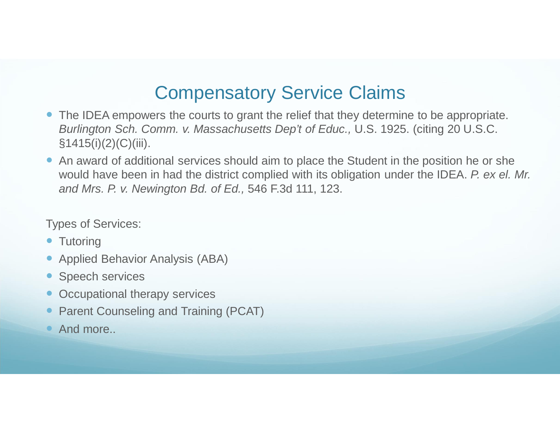### Compensatory Service Claims

- The IDEA empowers the courts to grant the relief that they determine to be appropriate. Burlington Sch. Comm. v. Massachusetts Dep't of Educ., U.S. 1925. (citing 20 U.S.C.  $§1415(i)(2)(C)(iii)$ .
- � An award of additional services should aim to place the Student in the position he or she would have been in had the district complied with its obligation under the IDEA. P. ex el. Mr. and Mrs. P. v. Newington Bd. of Ed., 546 F.3d 111, 123.

Types of Services:

- Tutoring
- � Applied Behavior Analysis (ABA)
- Speech services
- Occupational therapy services
- Parent Counseling and Training (PCAT)
- And more...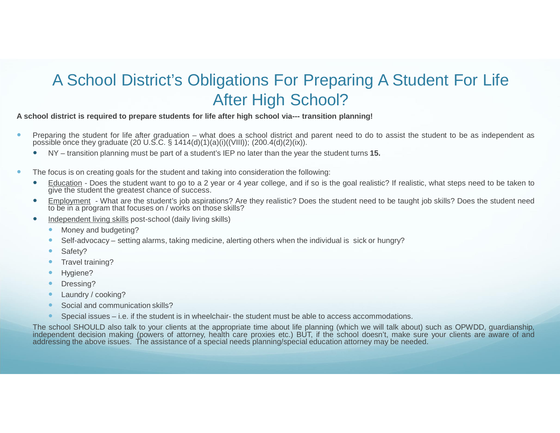### A School District's Obligations For Preparing A Student For Life After High School?

#### **A school district is required to prepare students for life after high school via--- transition planning!**

- **•** Preparing the student for life after graduation what does a school district and parent need to do to assist the student to be as independent as possible once they graduate (20 U.S.C. § 1414(d)(1)(a)(i)((VIII)); (200.4(d)(2)(ix)).
	- � NY transition planning must be part of a student's IEP no later than the year the student turns **15.**
- $\bullet$  The focus is on creating goals for the student and taking into consideration the following:
	- � Education Does the student want to go to a 2 year or 4 year college, and if so is the goal realistic? If realistic, what steps need to be taken to give the student the greatest chance of success.
	- � Employment What are the student's job aspirations? Are they realistic? Does the student need to be taught job skills? Does the student need to be in a program that focuses on / works on those skills?
	- Independent living skills post-school (daily living skills)
		- Money and budgeting?
		- Self-advocacy setting alarms, taking medicine, alerting others when the individual is sick or hungry?
		- Safety?
		- Travel training?
		- Hygiene?
		- Dressing?
		- Laundry / cooking?
		- Social and communication skills?
		- Special issues i.e. if the student is in wheelchair- the student must be able to access accommodations.

The school SHOULD also talk to your clients at the appropriate time about life planning (which we will talk about) such as OPWDD, guardianship, independent decision making (powers of attorney, health care proxies etc.) BUT, if the school doesn't, make sure your clients are aware of and addressing the above issues. The assistance of a special needs planning/special education attorney may be needed.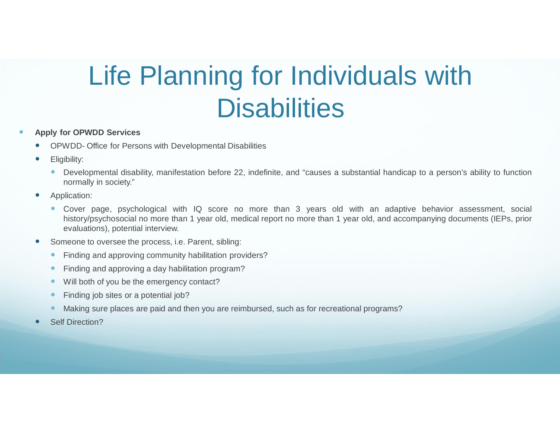# Life Planning for Individuals with **Disabilities**

#### � **Apply for OPWDD Services**

- � OPWDD- Office for Persons with Developmental Disabilities
- Eligibility:
	- � Developmental disability, manifestation before 22, indefinite, and "causes a substantial handicap to a person's ability to function normally in society."
- Application:
	- � Cover page, psychological with IQ score no more than 3 years old with an adaptive behavior assessment, social history/psychosocial no more than 1 year old, medical report no more than 1 year old, and accompanying documents (IEPs, prior evaluations), potential interview.
- Someone to oversee the process, i.e. Parent, sibling:
	- Finding and approving community habilitation providers?
	- Finding and approving a day habilitation program?
	- Will both of you be the emergency contact?
	- Finding job sites or a potential job?
	- Making sure places are paid and then you are reimbursed, such as for recreational programs?
- Self Direction?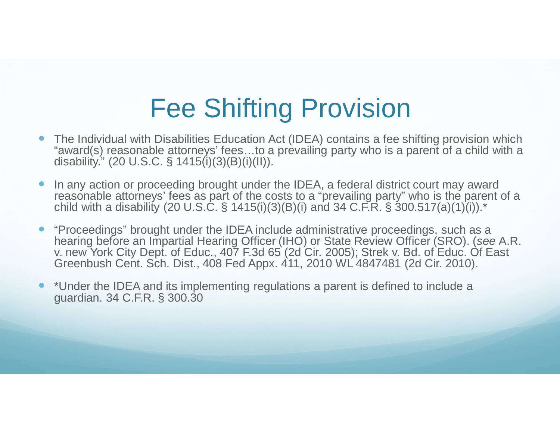## Fee Shifting Provision

- � The Individual with Disabilities Education Act (IDEA) contains a fee shifting provision which "award(s) reasonable attorneys' fees…to a prevailing party who is a parent of a child with a disability." (20 U.S.C. § 1415(i)(3)(B)(i)(II)).
- In any action or proceeding brought under the IDEA, a federal district court may award reasonable attorneys' fees as part of the costs to a "prevailing party" who is the parent of a child with a disability (20 U.S.C. § 1415(i)(3)(B)(i) and 34 C.F.R. § 300.517(a)(1)(i)).<sup>\*</sup>
- � "Proceedings" brought under the IDEA include administrative proceedings, such as a hearing before an Impartial Hearing Officer (IHO) or State Review Officer (SRO). (see A.R. v. new York City Dept. of Educ., 407 F.3d 65 (2d Cir. 2005); Strek v. Bd. of Educ. Of East Greenbush Cent. Sch. Dist., 408 Fed Appx. 411, 2010 WL 4847481 (2d Cir. 2010).
- � \*Under the IDEA and its implementing regulations a parent is defined to include a guardian. 34 C.F.R. § 300.30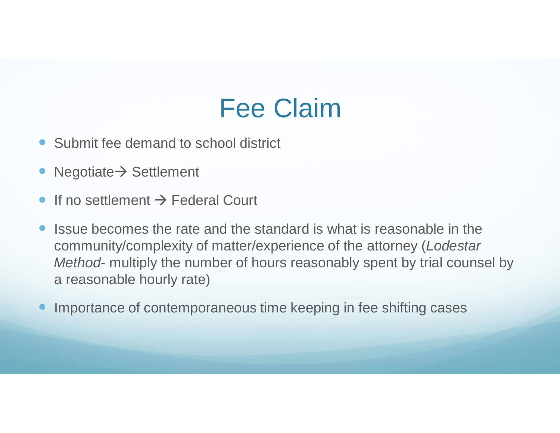### Fee Claim

- Submit fee demand to school district
- $Negotiate \rightarrow Sett$ lement
- $\bullet$  If no settlement  $\rightarrow$  Federal Court
- � Issue becomes the rate and the standard is what is reasonable in the community/complexity of matter/experience of the attorney (Lodestar Method- multiply the number of hours reasonably spent by trial counsel by a reasonable hourly rate)
- Importance of contemporaneous time keeping in fee shifting cases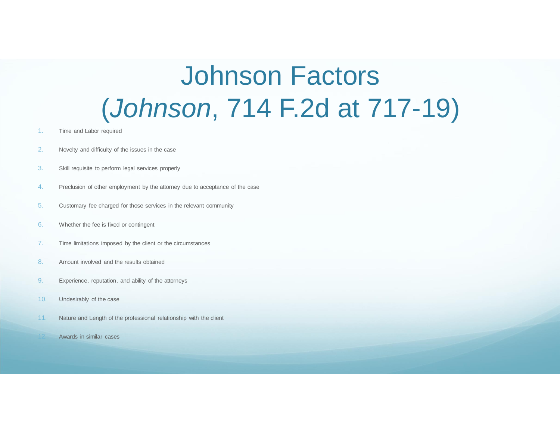## Johnson Factors (Johnson, 714 F.2d at 717-19)

- 1. Time and Labor required
- 2. Novelty and difficulty of the issues in the case
- 3. Skill requisite to perform legal services properly
- 4. Preclusion of other employment by the attorney due to acceptance of the case
- 5. Customary fee charged for those services in the relevant community
- 6. Whether the fee is fixed or contingent
- 7. Time limitations imposed by the client or the circumstances
- 8. Amount involved and the results obtained
- 9. Experience, reputation, and ability of the attorneys
- 10. Undesirably of the case
- 11. Nature and Length of the professional relationship with the client
	- Awards in similar cases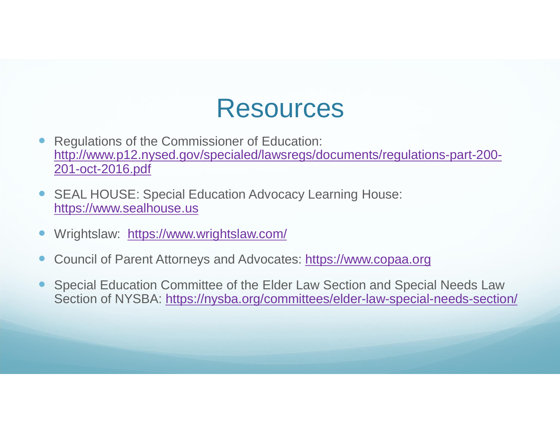### Resources

- � Regulations of the Commissioner of Education: http://www.p12.nysed.gov/specialed/lawsregs/documents/regulations-part-200- 201-oct-2016.pdf
- SEAL HOUSE: Special Education Advocacy Learning House: https://www.sealhouse.us
- Wrightslaw: https://www.wrightslaw.com/
- Council of Parent Attorneys and Advocates: https://www.copaa.org
- � Special Education Committee of the Elder Law Section and Special Needs Law Section of NYSBA: https://nysba.org/committees/elder-law-special-needs-section/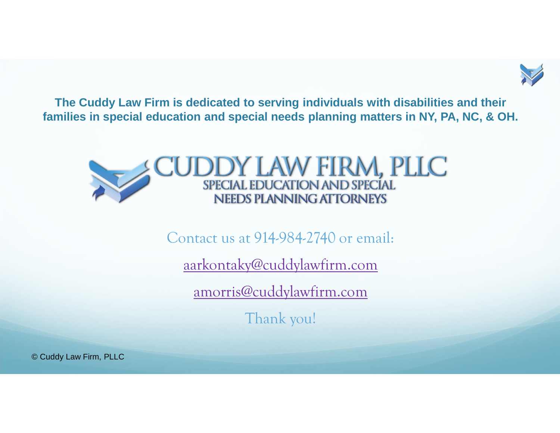

**The Cuddy Law Firm is dedicated to serving individuals with disabilities and their families in special education and special needs planning matters in NY, PA, NC, & OH.**



Contact us at 914-984-2740 or email:

aarkontaky@cuddylawfirm.com

amorris@cuddylawfirm.com

Thank you!

© Cuddy Law Firm, PLLC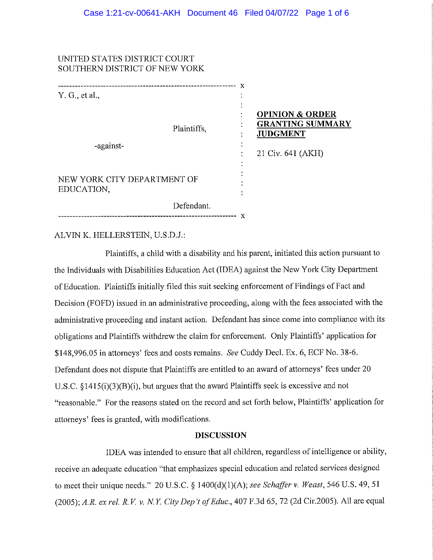#### UNITED STATES DISTRICT COURT SOUTHERN DISTRICT OF NEW YORK

| Y. G., et al.,                            |                   | х<br>$\bullet$ |                                                                                               |
|-------------------------------------------|-------------------|----------------|-----------------------------------------------------------------------------------------------|
| Plaintiffs,<br>-against-                  |                   | $\bullet$      | <b>OPINION &amp; ORDER</b><br><b>GRANTING SUMMARY</b><br><b>JUDGMENT</b><br>21 Civ. 641 (AKH) |
| NEW YORK CITY DEPARTMENT OF<br>EDUCATION, |                   | ٠              |                                                                                               |
| Defendant.                                | ----------------- | x              |                                                                                               |

#### ALVIN K. HELLERSTEIN, U.S.D.J.:

Plaintiffs, a child with a disability and his parent, initiated this action pursuant to the Individuals with Disabilities Education Act (IDEA) against the New York City Department of Education. Plaintiffs initially filed this suit seeking enforcement of Findings of Fact and Decision (FOFD) issued in an administrative proceeding, along with the fees associated with the administrative proceeding and instant action. Defendant has since come into compliance with its obligations and Plaintiffs withdrew the claim for enforcement. Only Plaintiffs' application for \$148,996.05 in attorneys' fees and costs remains. See Cuddy Decl. Ex. 6, ECF No. 38-6. Defendant does not dispute that Plaintiffs are entitled to an award of attorneys' fees under 20 U.S.C.  $$1415(i)(3)(B)(i)$ , but argues that the award Plaintiffs seek is excessive and not "reasonable." For the reasons stated on the record and set forth below, Plaintiffs' application for attorneys' fees is granted, with modifications.

#### **DISCUSSION**

IDEA was intended to ensure that all children, regardless of intelligence or ability, receive an adequate education "that emphasizes special education and related services designed to meet their unique needs." 20 U.S.C. § 1400(d)(1)(A); see Schaffer v. Weast, 546 U.S. 49, 51 (2005); A.R. ex rel. R.V. v. N.Y. City Dep't of Educ., 407 F.3d 65, 72 (2d Cir.2005). All are equal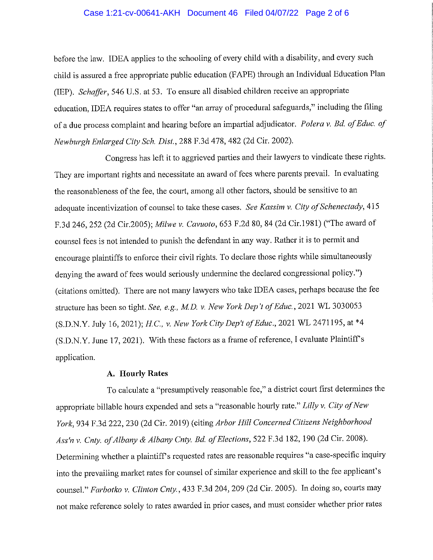#### Case 1:21-cv-00641-AKH Document 46 Filed 04/07/22 Page 2 of 6

before the law. IDEA applies to the schooling of every child with a disability, and every such child is assured a free appropriate public education (FAPE) through an Individual Education Plan (IEP). Schaffer, 546 U.S. at 53. To ensure all disabled children receive an appropriate education, IDEA requires states to offer "an array of procedural safeguards," including the filing of a due process complaint and hearing before an impartial adjudicator. Polera v. Bd. of Educ. of Newburgh Enlarged City Sch. Dist., 288 F.3d 478, 482 (2d Cir. 2002).

Congress has left it to aggrieved parties and their lawyers to vindicate these rights. They are important rights and necessitate an award of fees where parents prevail. In evaluating the reasonableness of the fee, the court, among all other factors, should be sensitive to an adequate incentivization of counsel to take these cases. See Kassim v. City of Schenectady, 415 F.3d 246, 252 (2d Cir.2005); Milwe v. Cavuoto, 653 F.2d 80, 84 (2d Cir.1981) ("The award of counsel fees is not intended to punish the defendant in any way. Rather it is to permit and encourage plaintiffs to enforce their civil rights. To declare those rights while simultaneously denying the award of fees would seriously undermine the declared congressional policy.") (citations omitted). There are not many lawyers who take IDEA cases, perhaps because the fee structure has been so tight. See, e.g., M.D. v. New York Dep't of Educ., 2021 WL 3030053 (S.D.N.Y. July 16, 2021); H.C., v. New York City Dep't of Educ., 2021 WL 2471195, at \*4 (S.D.N.Y. June 17, 2021). With these factors as a frame of reference, I evaluate Plaintiff's application.

#### A. Hourly Rates

To calculate a "presumptively reasonable fee," a district court first determines the appropriate billable hours expended and sets a "reasonable hourly rate." Lilly v. City of New York, 934 F.3d 222, 230 (2d Cir. 2019) (citing Arbor Hill Concerned Citizens Neighborhood Ass'n v. Cnty. of Albany & Albany Cnty. Bd. of Elections, 522 F.3d 182, 190 (2d Cir. 2008). Determining whether a plaintiff's requested rates are reasonable requires "a case-specific inquiry into the prevailing market rates for counsel of similar experience and skill to the fee applicant's counsel." Farbotko v. Clinton Cnty., 433 F.3d 204, 209 (2d Cir. 2005). In doing so, courts may not make reference solely to rates awarded in prior cases, and must consider whether prior rates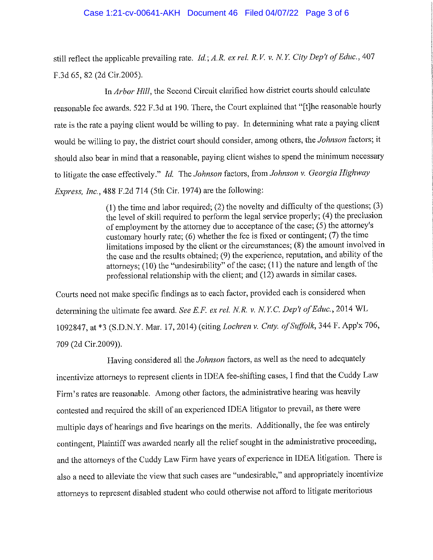#### Case 1:21-cv-00641-AKH Document 46 Filed 04/07/22 Page 3 of 6

still reflect the applicable prevailing rate. *Id.*; A.R. ex rel. R.V. v. N.Y. City Dep't of Educ., 407 F.3d 65, 82 (2d Cir.2005).

In Arbor Hill, the Second Circuit clarified how district courts should calculate reasonable fee awards. 522 F.3d at 190. There, the Court explained that "[t]he reasonable hourly rate is the rate a paying client would be willing to pay. In determining what rate a paying client would be willing to pay, the district court should consider, among others, the Johnson factors; it should also bear in mind that a reasonable, paying client wishes to spend the minimum necessary to litigate the case effectively." Id. The Johnson factors, from Johnson v. Georgia Highway *Express, Inc.,* 488 F.2d 714 (5th Cir. 1974) are the following:

> $(1)$  the time and labor required; (2) the novelty and difficulty of the questions; (3) the level of skill required to perform the legal service properly; (4) the preclusion of employment by the attorney due to acceptance of the case; (5) the attorney's customary hourly rate;  $(6)$  whether the fee is fixed or contingent;  $(7)$  the time limitations imposed by the client or the circumstances; (8) the amount involved in the case and the results obtained; (9) the experience, reputation, and ability of the attorneys:  $(10)$  the "undesirability" of the case;  $(11)$  the nature and length of the professional relationship with the client; and (12) awards in similar cases.

Courts need not make specific findings as to each factor, provided each is considered when determining the ultimate fee award. See E.F. ex rel. N.R. v. N.Y.C. Dep't of Educ., 2014 WL 1092847, at \*3 (S.D.N.Y. Mar. 17, 2014) (citing Lochren v. Cnty. of Suffolk, 344 F. App'x 706, 709 (2d Cir.2009)).

Having considered all the Johnson factors, as well as the need to adequately incentivize attorneys to represent clients in IDEA fee-shifting cases, I find that the Cuddy Law Firm's rates are reasonable. Among other factors, the administrative hearing was heavily contested and required the skill of an experienced IDEA litigator to prevail, as there were multiple days of hearings and five hearings on the merits. Additionally, the fee was entirely contingent, Plaintiff was awarded nearly all the relief sought in the administrative proceeding, and the attorneys of the Cuddy Law Firm have years of experience in IDEA litigation. There is also a need to alleviate the view that such cases are "undesirable," and appropriately incentivize attorneys to represent disabled student who could otherwise not afford to litigate meritorious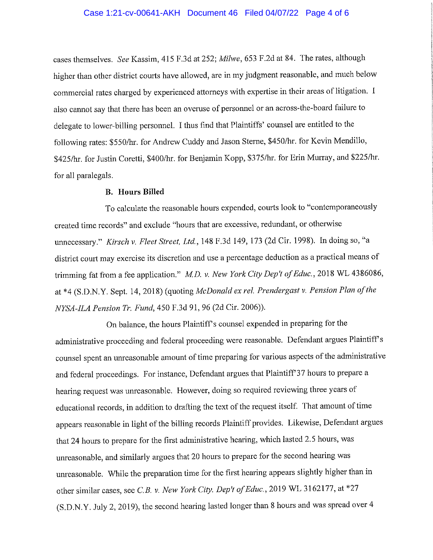#### Case 1:21-cv-00641-AKH Document 46 Filed 04/07/22 Page 4 of 6

cases themselves. See Kassim, 415 F.3d at 252; Milwe, 653 F.2d at 84. The rates, although higher than other district courts have allowed, are in my judgment reasonable, and much below commercial rates charged by experienced attorneys with expertise in their areas of litigation. I also cannot say that there has been an overuse of personnel or an across-the-board failure to delegate to lower-billing personnel. I thus find that Plaintiffs' counsel are entitled to the following rates: \$550/hr. for Andrew Cuddy and Jason Sterne, \$450/hr. for Kevin Mendillo, \$425/hr. for Justin Coretti, \$400/hr. for Benjamin Kopp, \$375/hr. for Erin Murray, and \$225/hr. for all paralegals.

#### **B.** Hours Billed

To calculate the reasonable hours expended, courts look to "contemporaneously" created time records" and exclude "hours that are excessive, redundant, or otherwise unnecessary." Kirsch v. Fleet Street, Ltd., 148 F.3d 149, 173 (2d Cir. 1998). In doing so, "a district court may exercise its discretion and use a percentage deduction as a practical means of trimming fat from a fee application." M.D. v. New York City Dep't of Educ., 2018 WL 4386086, at \*4 (S.D.N.Y. Sept. 14, 2018) (quoting McDonald ex rel. Prendergast v. Pension Plan of the NYSA-ILA Pension Tr. Fund, 450 F.3d 91, 96 (2d Cir. 2006)).

On balance, the hours Plaintiff's counsel expended in preparing for the administrative proceeding and federal proceeding were reasonable. Defendant argues Plaintiff's counsel spent an unreasonable amount of time preparing for various aspects of the administrative and federal proceedings. For instance, Defendant argues that Plaintiff'37 hours to prepare a hearing request was unreasonable. However, doing so required reviewing three years of educational records, in addition to drafting the text of the request itself. That amount of time appears reasonable in light of the billing records Plaintiff provides. Likewise, Defendant argues that 24 hours to prepare for the first administrative hearing, which lasted 2.5 hours, was unreasonable, and similarly argues that 20 hours to prepare for the second hearing was unreasonable. While the preparation time for the first hearing appears slightly higher than in other similar cases, see C.B. v. New York City. Dep't of Educ., 2019 WL 3162177, at \*27 (S.D.N.Y. July 2, 2019), the second hearing lasted longer than 8 hours and was spread over 4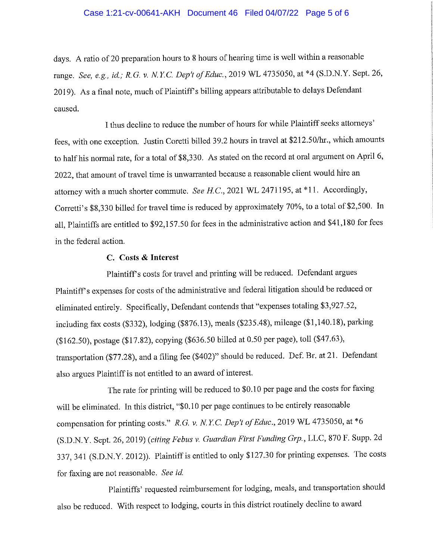#### Case 1:21-cv-00641-AKH Document 46 Filed 04/07/22 Page 5 of 6

days. A ratio of 20 preparation hours to 8 hours of hearing time is well within a reasonable range. See, e.g., id.; R.G. v. N.Y.C. Dep't of Educ., 2019 WL 4735050, at \*4 (S.D.N.Y. Sept. 26, 2019). As a final note, much of Plaintiff's billing appears attributable to delays Defendant caused.

I thus decline to reduce the number of hours for while Plaintiff seeks attorneys' fees, with one exception. Justin Coretti billed 39.2 hours in travel at \$212.50/hr., which amounts to half his normal rate, for a total of \$8,330. As stated on the record at oral argument on April 6, 2022, that amount of travel time is unwarranted because a reasonable client would hire an attorney with a much shorter commute. See H.C., 2021 WL 2471195, at \*11. Accordingly, Corretti's \$8,330 billed for travel time is reduced by approximately 70%, to a total of \$2,500. In all, Plaintiffs are entitled to \$92,157.50 for fees in the administrative action and \$41,180 for fees in the federal action.

#### C. Costs & Interest

Plaintiff's costs for travel and printing will be reduced. Defendant argues Plaintiff's expenses for costs of the administrative and federal litigation should be reduced or eliminated entirely. Specifically, Defendant contends that "expenses totaling \$3,927.52, including fax costs (\$332), lodging (\$876.13), meals (\$235.48), mileage (\$1,140.18), parking (\$162.50), postage (\$17.82), copying (\$636.50 billed at 0.50 per page), toll (\$47.63), transportation (\$77.28), and a filing fee (\$402)" should be reduced. Def. Br. at 21. Defendant also argues Plaintiff is not entitled to an award of interest.

The rate for printing will be reduced to \$0.10 per page and the costs for faxing will be eliminated. In this district, "\$0.10 per page continues to be entirely reasonable compensation for printing costs." R.G. v. N.Y.C. Dep't of Educ., 2019 WL 4735050, at \*6 (S.D.N.Y. Sept. 26, 2019) (citing Febus v. Guardian First Funding Grp., LLC, 870 F. Supp. 2d 337, 341 (S.D.N.Y. 2012)). Plaintiff is entitled to only \$127.30 for printing expenses. The costs for faxing are not reasonable. See id.

Plaintiffs' requested reimbursement for lodging, meals, and transportation should also be reduced. With respect to lodging, courts in this district routinely decline to award